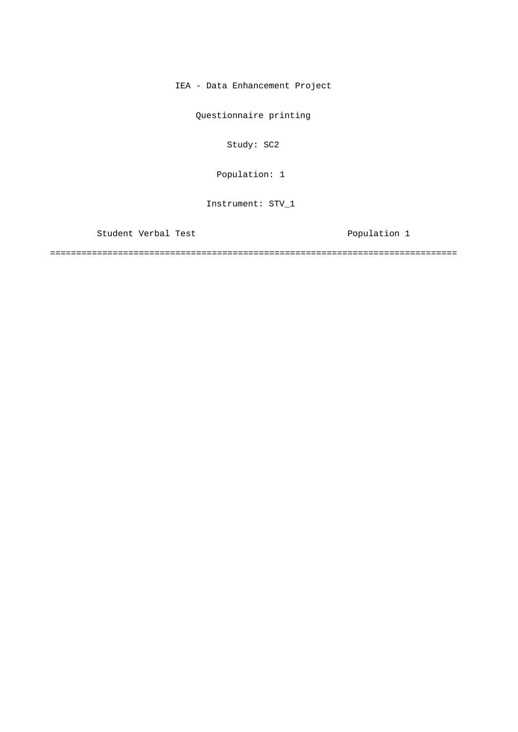IEA - Data Enhancement Project

Questionnaire printing

Study: SC2

Population: 1

Instrument: STV\_1

Student Verbal Test Population 1

==============================================================================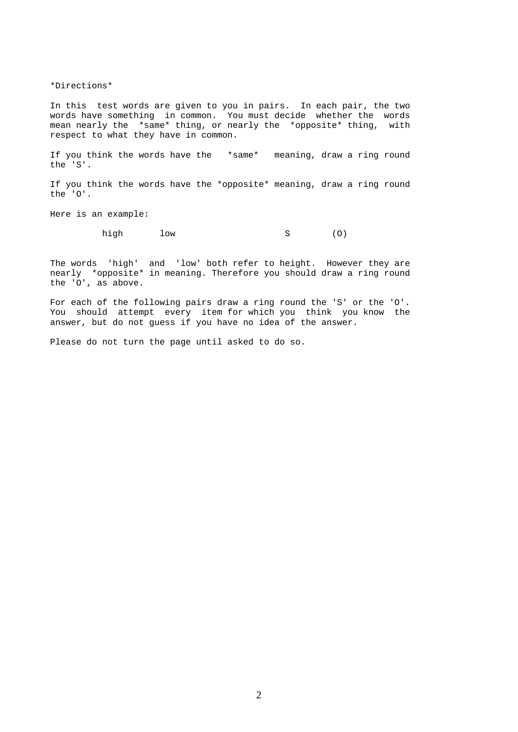\*Directions\*

In this test words are given to you in pairs. In each pair, the two words have something in common. You must decide whether the words mean nearly the \*same\* thing, or nearly the \*opposite\* thing, with respect to what they have in common.

If you think the words have the \*same\* meaning, draw a ring round the 'S'.

If you think the words have the \*opposite\* meaning, draw a ring round the 'O'.

Here is an example:

high low S (0)

The words 'high' and 'low' both refer to height. However they are nearly \*opposite\* in meaning. Therefore you should draw a ring round the 'O', as above.

For each of the following pairs draw a ring round the 'S' or the 'O'. You should attempt every item for which you think you know the answer, but do not guess if you have no idea of the answer.

Please do not turn the page until asked to do so.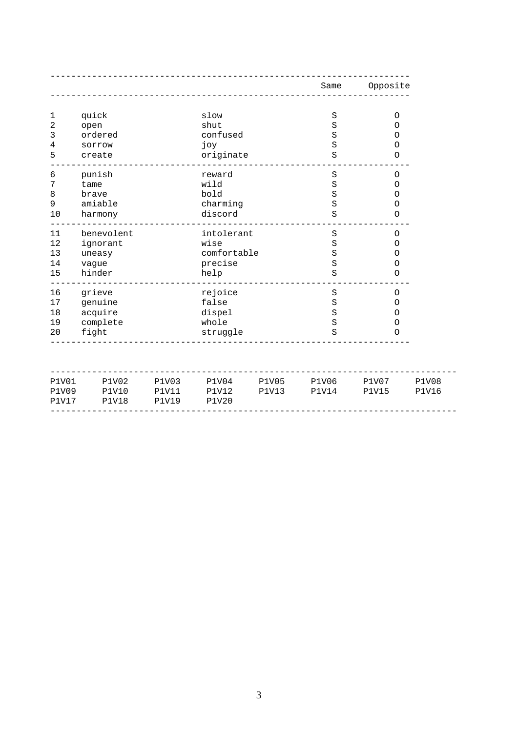|              |               |              |              |              | Same         | Opposite     |              |
|--------------|---------------|--------------|--------------|--------------|--------------|--------------|--------------|
|              |               |              |              |              |              |              |              |
| 1<br>2       | quick<br>open |              | slow<br>shut |              | S<br>S       | O<br>O       |              |
| 3            | ordered       |              | confused     |              | S            | $\circ$      |              |
| 4            | sorrow        |              | joy          |              | S            | $\circ$      |              |
| 5            | create        |              | originate    |              | $\rm S$      | O            |              |
| 6            | punish        |              | reward       |              | $\rm S$      | O            |              |
| 7            | tame          |              | wild         |              | $\rm S$      | O            |              |
| 8            | brave         |              | bold         |              | S            | 0            |              |
| 9            | amiable       |              | charming     |              | S            | $\circ$      |              |
| 10           | harmony       |              | discord      |              | S            | $\circ$      |              |
| 11           | benevolent    |              | intolerant   |              | $\rm S$      | O            |              |
| 12           | ignorant      |              | wise         |              | S            | $\circ$      |              |
| 13           | uneasy        |              | comfortable  |              | S            | $\circ$      |              |
| 14           | vague         |              | precise      |              | S            | $\circ$      |              |
| 15           | hinder        |              | help         |              | S            | $\circ$      |              |
| 16           | grieve        |              | rejoice      |              | $\rm S$      | O            |              |
| 17           | genuine       |              | false        |              | $\rm S$      | 0            |              |
| 18           | acquire       |              | dispel       |              | $\rm S$      | 0            |              |
| 19           | complete      |              | whole        |              | S            | 0            |              |
| 20           | fight         |              | struggle     |              | S            | O            |              |
| P1V01        | P1V02         | <b>P1V03</b> | P1V04        | <b>P1V05</b> | <b>P1V06</b> | <b>P1V07</b> | <b>P1V08</b> |
| <b>P1V09</b> | <b>P1V10</b>  | <b>P1V11</b> | <b>P1V12</b> | <b>P1V13</b> | <b>P1V14</b> | <b>P1V15</b> | <b>P1V16</b> |
| <b>P1V17</b> | <b>P1V18</b>  | <b>P1V19</b> | <b>P1V20</b> |              |              |              |              |